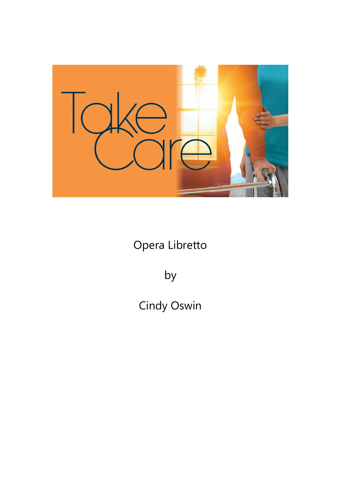

Opera Libretto

by

Cindy Oswin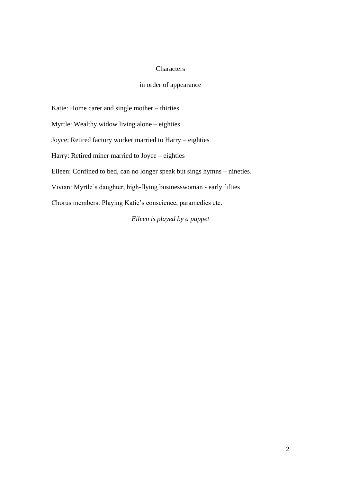#### **Characters**

# in order of appearance

Katie: Home carer and single mother – thirties

Myrtle: Wealthy widow living alone – eighties

Joyce: Retired factory worker married to Harry – eighties

Harry: Retired miner married to Joyce – eighties

Eileen: Confined to bed, can no longer speak but sings hymns – nineties.

Vivian: Myrtle's daughter, high-flying businesswoman - early fifties

Chorus members: Playing Katie's conscience, paramedics etc.

*Eileen is played by a puppet*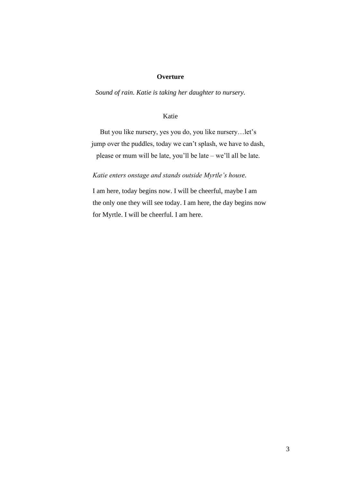#### **Overture**

*Sound of rain. Katie is taking her daughter to nursery.*

# Katie

But you like nursery, yes you do, you like nursery…let's jump over the puddles, today we can't splash, we have to dash, please or mum will be late, you'll be late – we'll all be late.

#### *Katie enters onstage and stands outside Myrtle's house*.

I am here, today begins now. I will be cheerful, maybe I am the only one they will see today. I am here, the day begins now for Myrtle. I will be cheerful. I am here.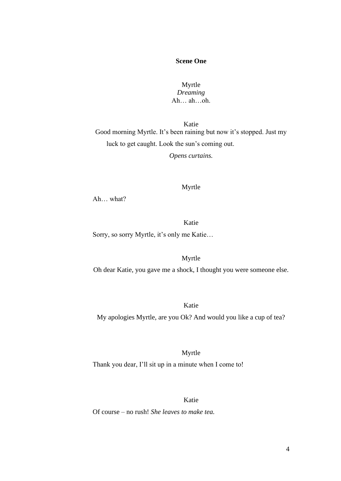# **Scene One**

# Myrtle *Dreaming* Ah… ah…oh.

Katie Good morning Myrtle. It's been raining but now it's stopped. Just my luck to get caught. Look the sun's coming out.

*Opens curtains.*

#### Myrtle

Ah… what?

# Katie

Sorry, so sorry Myrtle, it's only me Katie…

#### Myrtle

Oh dear Katie, you gave me a shock, I thought you were someone else.

#### Katie

My apologies Myrtle, are you Ok? And would you like a cup of tea?

# Myrtle Thank you dear, I'll sit up in a minute when I come to!

#### Katie

Of course – no rush! *She leaves to make tea.*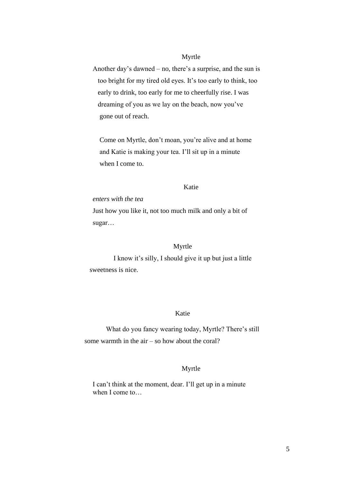# Myrtle

Another day's dawned – no, there's a surprise, and the sun is too bright for my tired old eyes. It's too early to think, too early to drink, too early for me to cheerfully rise. I was dreaming of you as we lay on the beach, now you've gone out of reach.

 Come on Myrtle, don't moan, you're alive and at home and Katie is making your tea. I'll sit up in a minute when I come to.

# Katie

#### *enters with the tea*

Just how you like it, not too much milk and only a bit of sugar…

#### Myrtle

I know it's silly, I should give it up but just a little sweetness is nice.

#### Katie

What do you fancy wearing today, Myrtle? There's still some warmth in the air – so how about the coral?

#### Myrtle

I can't think at the moment, dear. I'll get up in a minute when I come to…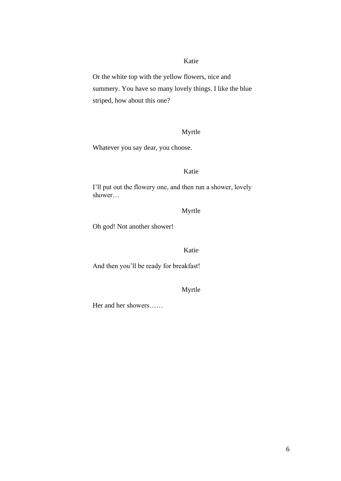Or the white top with the yellow flowers, nice and summery. You have so many lovely things. I like the blue striped, how about this one?

#### Myrtle

Whatever you say dear, you choose.

#### Katie

I'll put out the flowery one, and then run a shower, lovely shower…

# Myrtle

Oh god! Not another shower!

#### Katie

And then you'll be ready for breakfast!

# Myrtle

Her and her showers……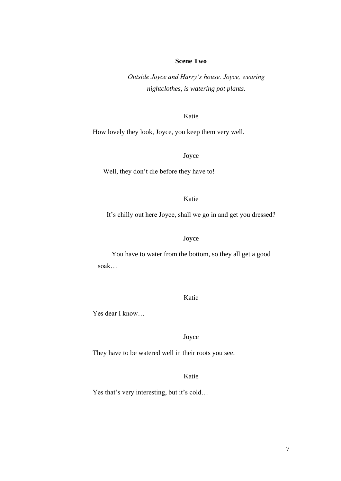# **Scene Two**

*Outside Joyce and Harry's house. Joyce, wearing nightclothes, is watering pot plants.*

Katie

How lovely they look, Joyce, you keep them very well.

Joyce

Well, they don't die before they have to!

Katie

It's chilly out here Joyce, shall we go in and get you dressed?

# Joyce

You have to water from the bottom, so they all get a good soak…

Katie

Yes dear I know…

Joyce

They have to be watered well in their roots you see.

### Katie

Yes that's very interesting, but it's cold...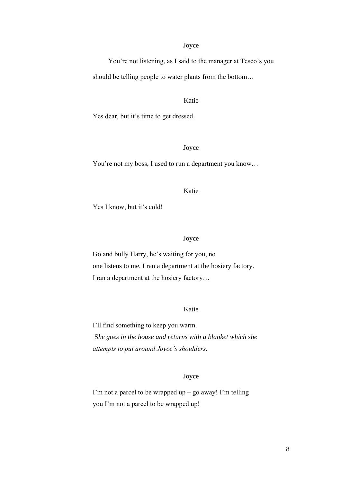#### Joyce

You're not listening, as I said to the manager at Tesco's you should be telling people to water plants from the bottom…

Katie

Yes dear, but it's time to get dressed.

# Joyce

You're not my boss, I used to run a department you know…

#### Katie

Yes I know, but it's cold!

#### Joyce

Go and bully Harry, he's waiting for you, no one listens to me, I ran a department at the hosiery factory. I ran a department at the hosiery factory…

#### Katie

I'll find something to keep you warm. S*he goes in the house and returns with a blanket which she attempts to put around Joyce's shoulders.*

#### Joyce

I'm not a parcel to be wrapped up – go away! I'm telling you I'm not a parcel to be wrapped up!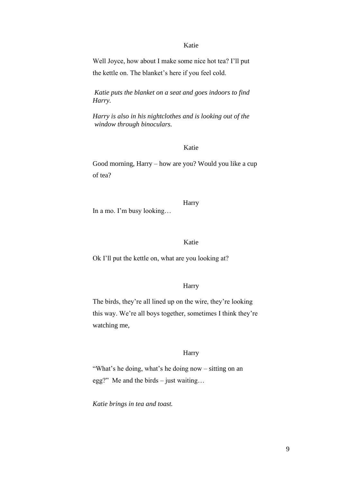Well Joyce, how about I make some nice hot tea? I'll put the kettle on. The blanket's here if you feel cold.

*Katie puts the blanket on a seat and goes indoors to find Harry.*

*Harry is also in his nightclothes and is looking out of the window through binoculars.*

#### Katie

Good morning, Harry – how are you? Would you like a cup of tea?

**Harry** In a mo. I'm busy looking…

### Katie

Ok I'll put the kettle on, what are you looking at?

#### Harry

The birds, they're all lined up on the wire, they're looking this way. We're all boys together, sometimes I think they're watching me,

#### Harry

"What's he doing, what's he doing now – sitting on an egg?" Me and the birds – just waiting…

*Katie brings in tea and toast.*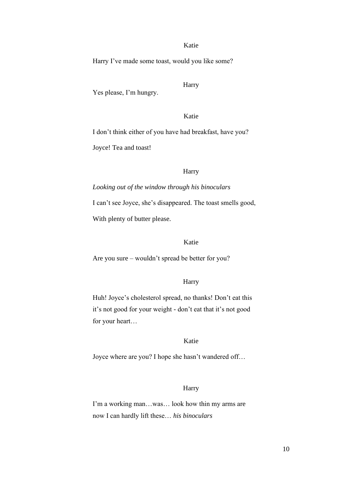Harry I've made some toast, would you like some?

Yes please, I'm hungry.

Harry

Katie

I don't think either of you have had breakfast, have you?

Joyce! Tea and toast!

#### Harry

*Looking out of the window through his binoculars* I can't see Joyce, she's disappeared. The toast smells good, With plenty of butter please.

# Katie

Are you sure – wouldn't spread be better for you?

#### Harry

Huh! Joyce's cholesterol spread, no thanks! Don't eat this it's not good for your weight - don't eat that it's not good for your heart…

# Katie

Joyce where are you? I hope she hasn't wandered off…

# Harry

I'm a working man…was… look how thin my arms are now I can hardly lift these… *his binoculars*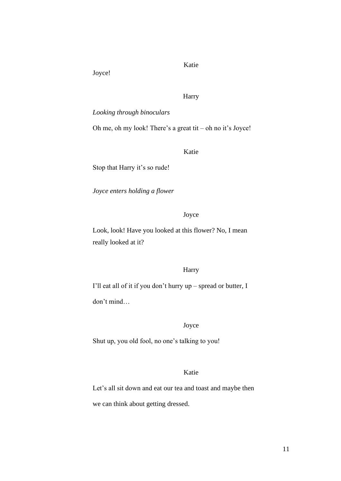Joyce!

# Katie

### Harry

### *Looking through binoculars*

Oh me, oh my look! There's a great tit – oh no it's Joyce!

Katie

Stop that Harry it's so rude!

*Joyce enters holding a flower*

#### Joyce

Look, look! Have you looked at this flower? No, I mean really looked at it?

#### Harry

I'll eat all of it if you don't hurry up – spread or butter, I don't mind…

#### Joyce

Shut up, you old fool, no one's talking to you!

# Katie

Let's all sit down and eat our tea and toast and maybe then

we can think about getting dressed.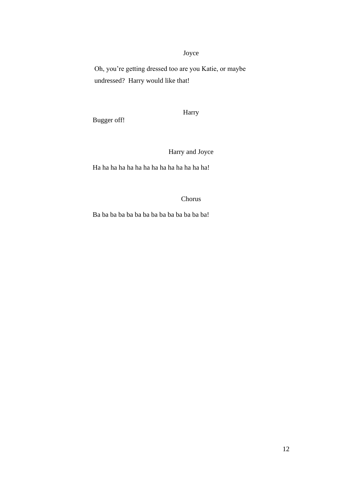# Joyce

Oh, you're getting dressed too are you Katie, or maybe undressed? Harry would like that!

Harry

Bugger off!

Harry and Joyce

Ha ha ha ha ha ha ha ha ha ha ha ha ha ha!

Chorus

Ba ba ba ba ba ba ba ba ba ba ba ba ba ba!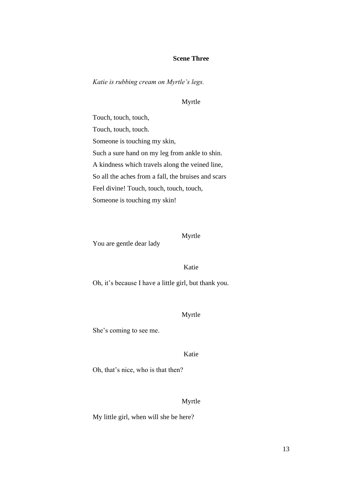#### **Scene Three**

*Katie is rubbing cream on Myrtle's legs.*

#### Myrtle

Touch, touch, touch, Touch, touch, touch. Someone is touching my skin, Such a sure hand on my leg from ankle to shin. A kindness which travels along the veined line, So all the aches from a fall, the bruises and scars Feel divine! Touch, touch, touch, touch, Someone is touching my skin!

You are gentle dear lady

Myrtle

Katie

Oh, it's because I have a little girl, but thank you.

#### Myrtle

She's coming to see me.

# Katie

Oh, that's nice, who is that then?

#### Myrtle

My little girl, when will she be here?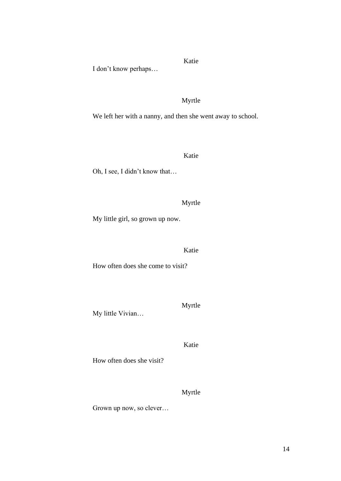I don't know perhaps…

Myrtle

Katie

We left her with a nanny, and then she went away to school.

Katie

Oh, I see, I didn't know that…

# Myrtle

My little girl, so grown up now.

# Katie

How often does she come to visit?

My little Vivian…

Myrtle

Katie

How often does she visit?

Myrtle

Grown up now, so clever…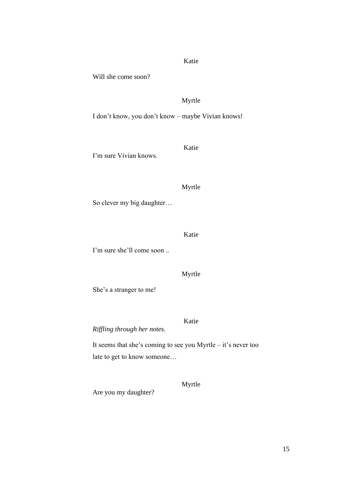Will she come soon?

# Myrtle

I don't know, you don't know – maybe Vivian knows!

I'm sure Vivian knows.

# Myrtle

Katie

So clever my big daughter…

Katie

I'm sure she'll come soon ..

Myrtle

Katie

She's a stranger to me!

*Riffling through her notes.*

It seems that she's coming to see you Myrtle – it's never too late to get to know someone…

Are you my daughter?

Myrtle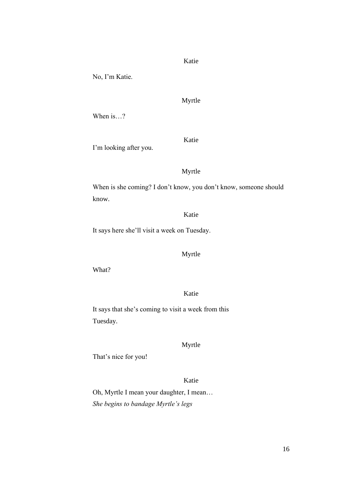No, I'm Katie.

Myrtle

When is…?

I'm looking after you.

Myrtle

Katie

When is she coming? I don't know, you don't know, someone should know.

Katie

It says here she'll visit a week on Tuesday.

# Myrtle

What?

Katie

It says that she's coming to visit a week from this Tuesday.

#### Myrtle

That's nice for you!

# Katie

Oh, Myrtle I mean your daughter, I mean… *She begins to bandage Myrtle's legs*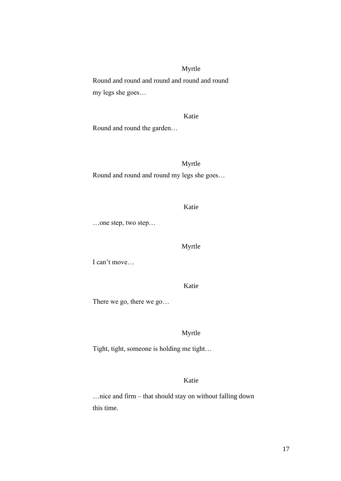# Myrtle

Round and round and round and round and round my legs she goes…

# Katie

Round and round the garden…

# Myrtle

Round and round and round my legs she goes…

#### Katie

…one step, two step…

#### Myrtle

I can't move…

Katie

There we go, there we go…

#### Myrtle

Tight, tight, someone is holding me tight…

# Katie

…nice and firm – that should stay on without falling down this time.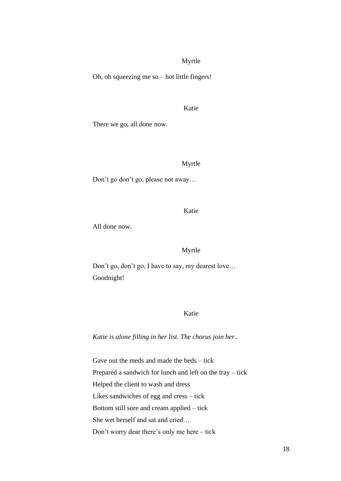#### Myrtle

Oh, oh squeezing me so – hot little fingers!

#### Katie

There we go, all done now.

#### Myrtle

Don't go don't go, please not away…

Katie

All done now.

#### Myrtle

Don't go, don't go, I have to say, my dearest love… Goodnight!

#### Katie

*Katie is alone filling in her list. The chorus join her..*

Gave out the meds and made the beds – tick Prepared a sandwich for lunch and left on the tray – tick Helped the client to wash and dress Likes sandwiches of egg and cress – tick Bottom still sore and cream applied – tick She wet herself and sat and cried… Don't worry dear there's only me here – tick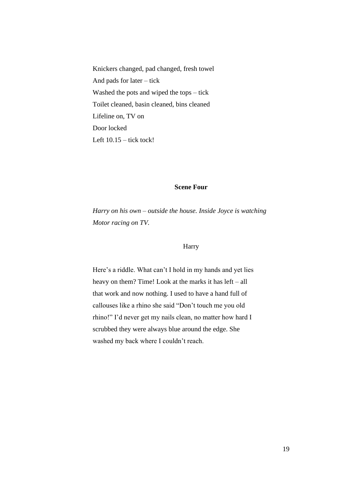Knickers changed, pad changed, fresh towel And pads for later – tick Washed the pots and wiped the tops – tick Toilet cleaned, basin cleaned, bins cleaned Lifeline on, TV on Door locked Left  $10.15$  – tick tock!

# **Scene Four**

*Harry on his own – outside the house. Inside Joyce is watching Motor racing on TV.*

#### Harry

Here's a riddle. What can't I hold in my hands and yet lies heavy on them? Time! Look at the marks it has left – all that work and now nothing. I used to have a hand full of callouses like a rhino she said "Don't touch me you old rhino!" I'd never get my nails clean, no matter how hard I scrubbed they were always blue around the edge. She washed my back where I couldn't reach.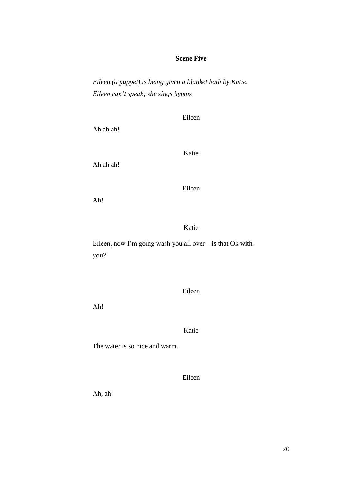# **Scene Five**

*Eileen (a puppet) is being given a blanket bath by Katie. Eileen can't speak; she sings hymns*

Eileen

Ah ah ah!

Katie

Ah ah ah!

Eileen

Ah!

Katie

Eileen, now I'm going wash you all over – is that Ok with you?

Eileen

Ah!

Katie

The water is so nice and warm.

Eileen

Ah, ah!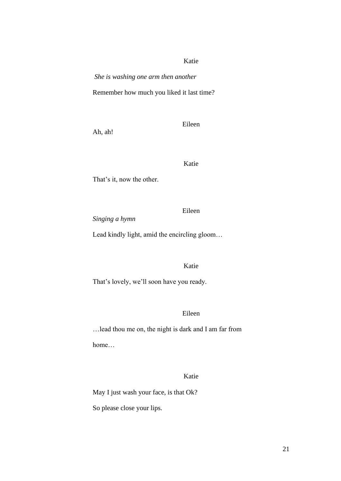*She is washing one arm then another*

Remember how much you liked it last time?

Ah, ah!

Eileen

Katie

That's it, now the other.

Eileen

*Singing a hymn*

Lead kindly light, amid the encircling gloom…

Katie

That's lovely, we'll soon have you ready.

#### Eileen

…lead thou me on, the night is dark and I am far from home…

# Katie

May I just wash your face, is that Ok?

So please close your lips.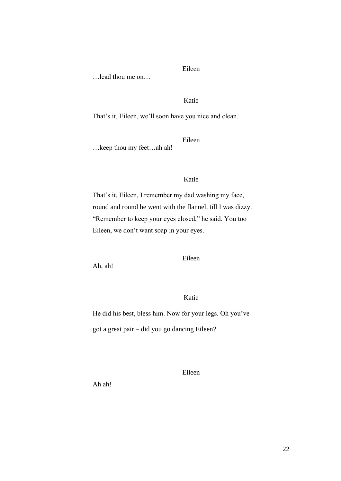…lead thou me on…

Eileen

#### Katie

That's it, Eileen, we'll soon have you nice and clean.

Eileen

…keep thou my feet…ah ah!

# Katie

That's it, Eileen, I remember my dad washing my face, round and round he went with the flannel, till I was dizzy. "Remember to keep your eyes closed," he said. You too Eileen, we don't want soap in your eyes.

Eileen

Ah, ah!

# Katie

He did his best, bless him. Now for your legs. Oh you've got a great pair – did you go dancing Eileen?

Eileen

Ah ah!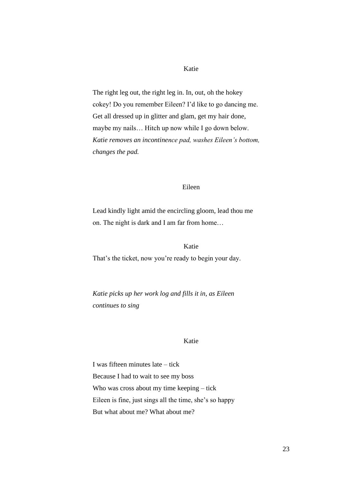The right leg out, the right leg in. In, out, oh the hokey cokey! Do you remember Eileen? I'd like to go dancing me. Get all dressed up in glitter and glam, get my hair done, maybe my nails… Hitch up now while I go down below. *Katie removes an incontinence pad, washes Eileen's bottom, changes the pad.* 

#### Eileen

Lead kindly light amid the encircling gloom, lead thou me on. The night is dark and I am far from home…

Katie

That's the ticket, now you're ready to begin your day.

*Katie picks up her work log and fills it in, as Eileen continues to sing*

#### Katie

I was fifteen minutes late – tick Because I had to wait to see my boss Who was cross about my time keeping – tick Eileen is fine, just sings all the time, she's so happy But what about me? What about me?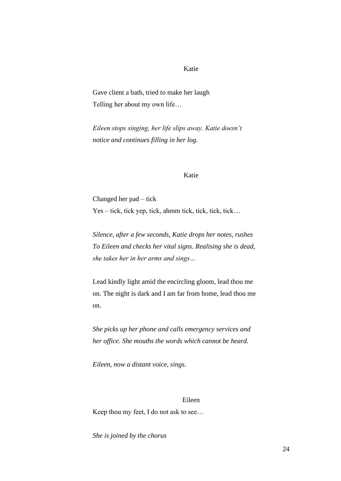Gave client a bath, tried to make her laugh Telling her about my own life…

*Eileen stops singing, her life slips away. Katie doesn't notice and continues filling in her log.*

#### Katie

Changed her pad – tick Yes – tick, tick yep, tick, ahmm tick, tick, tick, tick…

*Silence, after a few seconds, Katie drops her notes, rushes To Eileen and checks her vital signs. Realising she is dead, she takes her in her arms and sings…*

Lead kindly light amid the encircling gloom, lead thou me on. The night is dark and I am far from home, lead thou me on.

*She picks up her phone and calls emergency services and her office. She mouths the words which cannot be heard.*

*Eileen, now a distant voice, sings.*

#### Eileen

Keep thou my feet, I do not ask to see…

*She is joined by the chorus*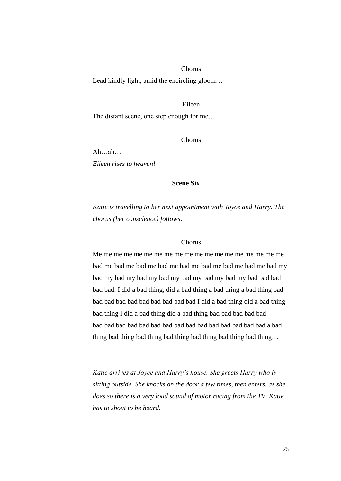#### Chorus

Lead kindly light, amid the encircling gloom…

#### Eileen

The distant scene, one step enough for me…

Chorus

Ah…ah… *Eileen rises to heaven!*

#### **Scene Six**

*Katie is travelling to her next appointment with Joyce and Harry. The chorus (her conscience) follows*.

#### Chorus

Me me me me me me me me me me me me me me me me me me me bad me bad me bad me bad me bad me bad me bad me bad me bad my bad my bad my bad my bad my bad my bad my bad my bad bad bad bad bad. I did a bad thing, did a bad thing a bad thing a bad thing bad bad bad bad bad bad bad bad bad bad I did a bad thing did a bad thing bad thing I did a bad thing did a bad thing bad bad bad bad bad bad bad bad bad bad bad bad bad bad bad bad bad bad bad bad a bad thing bad thing bad thing bad thing bad thing bad thing bad thing…

*Katie arrives at Joyce and Harry's house. She greets Harry who is sitting outside. She knocks on the door a few times, then enters, as she does so there is a very loud sound of motor racing from the TV. Katie has to shout to be heard.*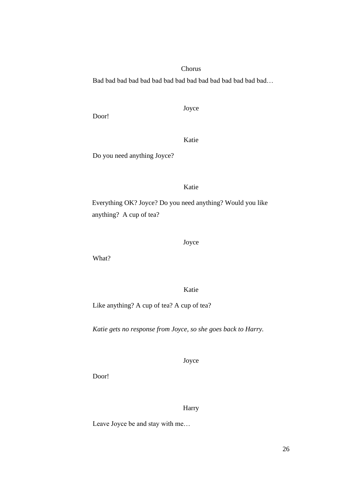# Chorus

Bad bad bad bad bad bad bad bad bad bad bad bad bad bad bad…

Door!

Joyce

Katie

Do you need anything Joyce?

Katie

Everything OK? Joyce? Do you need anything? Would you like anything? A cup of tea?

Joyce

What?

Katie

Like anything? A cup of tea? A cup of tea?

*Katie gets no response from Joyce, so she goes back to Harry.*

Joyce

Door!

Harry

Leave Joyce be and stay with me…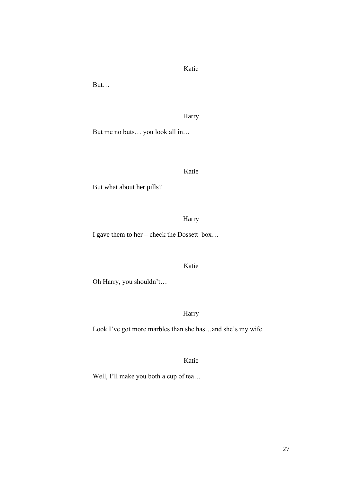But…

# Harry

But me no buts… you look all in…

#### Katie

But what about her pills?

Harry

I gave them to her – check the Dossett box…

# Katie

Oh Harry, you shouldn't…

# Harry

Look I've got more marbles than she has…and she's my wife

# Katie

Well, I'll make you both a cup of tea…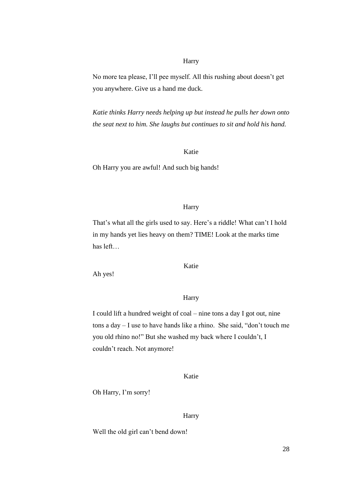#### Harry

No more tea please, I'll pee myself. All this rushing about doesn't get you anywhere. Give us a hand me duck.

*Katie thinks Harry needs helping up but instead he pulls her down onto the seat next to him. She laughs but continues to sit and hold his hand.*

#### Katie

Oh Harry you are awful! And such big hands!

#### Harry

That's what all the girls used to say. Here's a riddle! What can't I hold in my hands yet lies heavy on them? TIME! Look at the marks time has left…

Ah yes!

Katie

#### **Harry**

I could lift a hundred weight of coal – nine tons a day I got out, nine tons a day – I use to have hands like a rhino. She said, "don't touch me you old rhino no!" But she washed my back where I couldn't, I couldn't reach. Not anymore!

Katie

Oh Harry, I'm sorry!

Harry

Well the old girl can't bend down!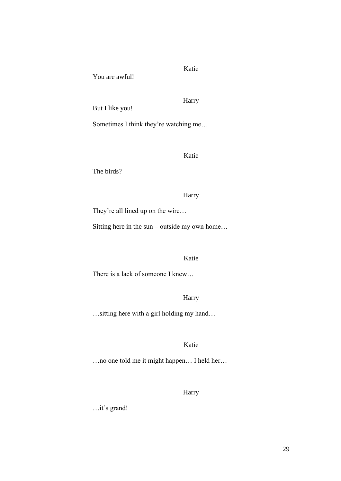You are awful!

Harry

Katie

But I like you!

Sometimes I think they're watching me…

Katie

The birds?

#### Harry

They're all lined up on the wire…

Sitting here in the sun – outside my own home…

#### Katie

There is a lack of someone I knew…

# Harry

…sitting here with a girl holding my hand…

# Katie

…no one told me it might happen… I held her…

# Harry

…it's grand!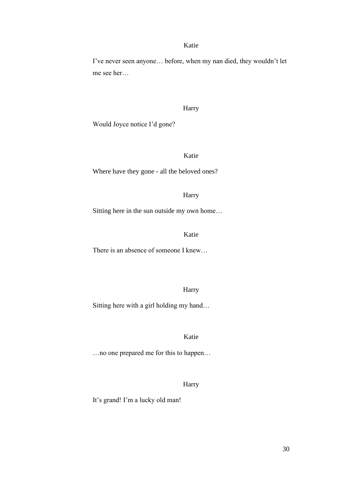I've never seen anyone… before, when my nan died, they wouldn't let me see her…

#### Harry

Would Joyce notice I'd gone?

# Katie

Where have they gone - all the beloved ones?

#### Harry

Sitting here in the sun outside my own home…

### Katie

There is an absence of someone I knew…

Harry

Sitting here with a girl holding my hand…

Katie

…no one prepared me for this to happen…

# Harry

It's grand! I'm a lucky old man!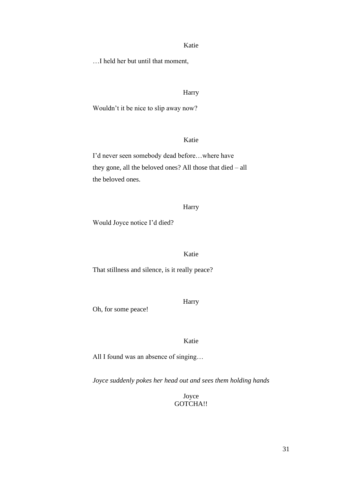…I held her but until that moment,

#### Harry

Wouldn't it be nice to slip away now?

#### Katie

I'd never seen somebody dead before…where have they gone, all the beloved ones? All those that died – all the beloved ones.

#### Harry

Would Joyce notice I'd died?

# Katie

That stillness and silence, is it really peace?

Harry

Oh, for some peace!

Katie

All I found was an absence of singing…

*Joyce suddenly pokes her head out and sees them holding hands*

Joyce GOTCHA!!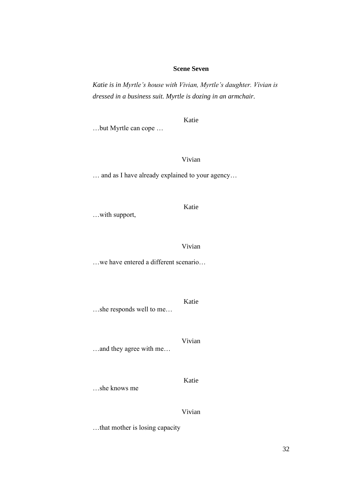# **Scene Seven**

*Katie is in Myrtle's house with Vivian, Myrtle's daughter. Vivian is dressed in a business suit. Myrtle is dozing in an armchair.*

…but Myrtle can cope …

Katie

Vivian

… and as I have already explained to your agency…

…with support,

Vivian

Katie

…we have entered a different scenario…

Katie …she responds well to me…

Vivian …and they agree with me…

…she knows me

Vivian

Katie

…that mother is losing capacity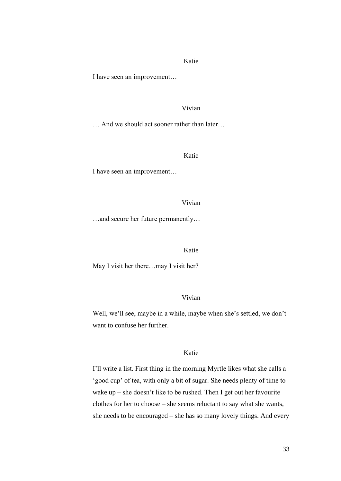I have seen an improvement…

#### Vivian

… And we should act sooner rather than later…

Katie

I have seen an improvement…

Vivian

…and secure her future permanently…

Katie

May I visit her there…may I visit her?

# Vivian

Well, we'll see, maybe in a while, maybe when she's settled, we don't want to confuse her further.

#### Katie

I'll write a list. First thing in the morning Myrtle likes what she calls a 'good cup' of tea, with only a bit of sugar. She needs plenty of time to wake up – she doesn't like to be rushed. Then I get out her favourite clothes for her to choose – she seems reluctant to say what she wants, she needs to be encouraged – she has so many lovely things. And every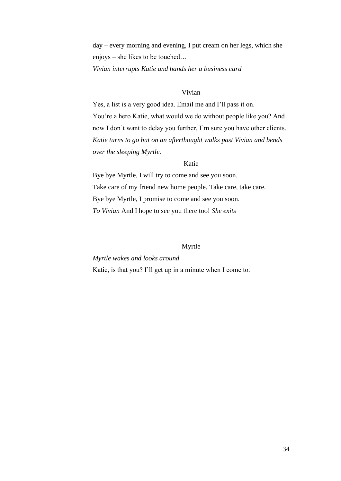day – every morning and evening, I put cream on her legs, which she enjoys – she likes to be touched…

*Vivian interrupts Katie and hands her a business card*

# Vivian

Yes, a list is a very good idea. Email me and I'll pass it on. You're a hero Katie, what would we do without people like you? And now I don't want to delay you further, I'm sure you have other clients. *Katie turns to go but on an afterthought walks past Vivian and bends over the sleeping Myrtle.*

### Katie

Bye bye Myrtle, I will try to come and see you soon. Take care of my friend new home people. Take care, take care. Bye bye Myrtle, I promise to come and see you soon. *To Vivian* And I hope to see you there too! *She exits*

#### Myrtle

# *Myrtle wakes and looks around*

Katie, is that you? I'll get up in a minute when I come to.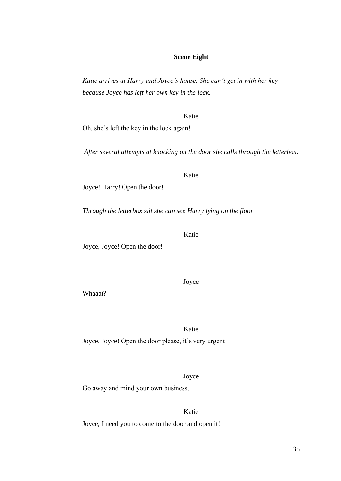# **Scene Eight**

*Katie arrives at Harry and Joyce's house. She can't get in with her key because Joyce has left her own key in the lock.*

Katie

Oh, she's left the key in the lock again!

*After several attempts at knocking on the door she calls through the letterbox.*

Katie

Joyce! Harry! Open the door!

*Through the letterbox slit she can see Harry lying on the floor*

Joyce, Joyce! Open the door!

Whaaat?

Katie

Joyce, Joyce! Open the door please, it's very urgent

Joyce

Go away and mind your own business…

Katie Joyce, I need you to come to the door and open it!

# Katie

Joyce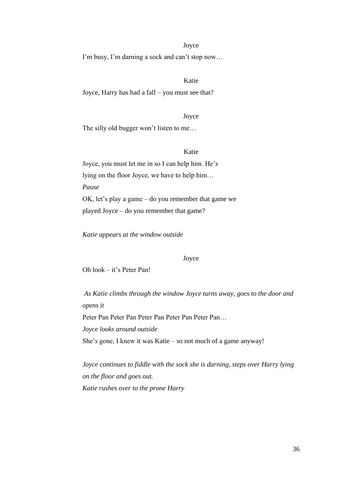# Joyce

I'm busy, I'm darning a sock and can't stop now…

# Katie

Joyce, Harry has had a fall – you must see that?

Joyce

The silly old bugger won't listen to me…

# Katie

Joyce, you must let me in so I can help him. He's lying on the floor Joyce, we have to help him… *Pause* OK, let's play a game – do you remember that game we played Joyce – do you remember that game?

*Katie appears at the window outside*

#### Joyce

Oh look – it's Peter Pan!

*As Katie climbs through the window Joyce turns away, goes to the door and opens it*

Peter Pan Peter Pan Peter Pan Peter Pan Peter Pan...

*Joyce looks around outside*

She's gone, I knew it was Katie – so not much of a game anyway!

*Joyce continues to fiddle with the sock she is darning, steps over Harry lying on the floor and goes out. Katie rushes over to the prone Harry*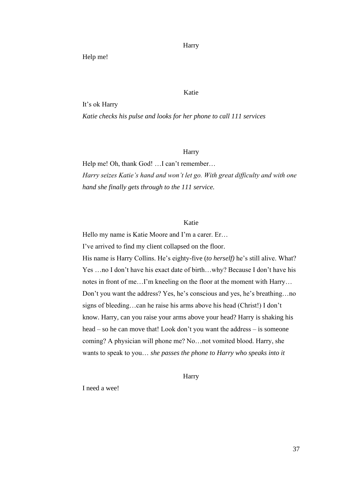Harry

Help me!

Katie

It's ok Harry

*Katie checks his pulse and looks for her phone to call 111 services*

Harry

Help me! Oh, thank God! …I can't remember… *Harry seizes Katie's hand and won't let go. With great difficulty and with one hand she finally gets through to the 111 service.* 

# Katie

Hello my name is Katie Moore and I'm a carer. Er…

I've arrived to find my client collapsed on the floor.

His name is Harry Collins. He's eighty-five (*to herself)* he's still alive. What? Yes …no I don't have his exact date of birth…why? Because I don't have his notes in front of me…I'm kneeling on the floor at the moment with Harry… Don't you want the address? Yes, he's conscious and yes, he's breathing…no signs of bleeding…can he raise his arms above his head (Christ!) I don't know. Harry, can you raise your arms above your head? Harry is shaking his head – so he can move that! Look don't you want the address – is someone coming? A physician will phone me? No…not vomited blood. Harry, she wants to speak to you… *she passes the phone to Harry who speaks into it*

Harry

I need a wee!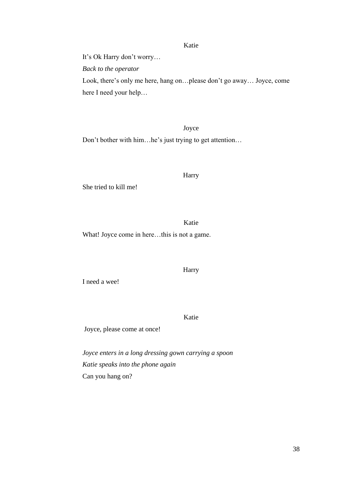It's Ok Harry don't worry…

*Back to the operator* 

Look, there's only me here, hang on…please don't go away… Joyce, come here I need your help…

#### Joyce

Don't bother with him…he's just trying to get attention…

#### Harry

She tried to kill me!

Katie

What! Joyce come in here…this is not a game.

#### Harry

I need a wee!

Katie

Joyce, please come at once!

*Joyce enters in a long dressing gown carrying a spoon Katie speaks into the phone again* Can you hang on?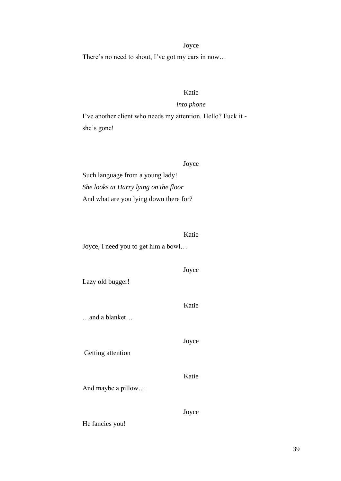#### Joyce

There's no need to shout, I've got my ears in now…

# Katie

# *into phone*

I've another client who needs my attention. Hello? Fuck it she's gone!

#### Joyce

Such language from a young lady! *She looks at Harry lying on the floor* And what are you lying down there for?

Katie Joyce, I need you to get him a bowl…

### Joyce

Katie

Joyce

Katie

Lazy old bugger!

…and a blanket…

Getting attention

And maybe a pillow…

Joyce

He fancies you!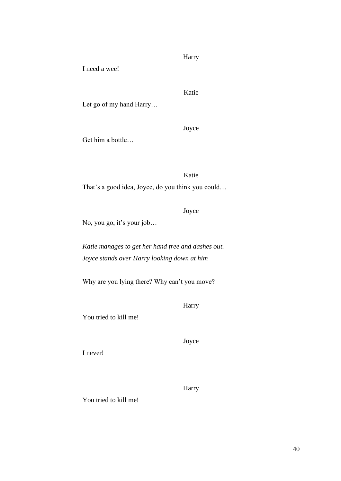Harry

I need a wee!

# Katie

Let go of my hand Harry…

Joyce

Get him a bottle…

Katie

That's a good idea, Joyce, do you think you could…

Joyce

No, you go, it's your job…

*Katie manages to get her hand free and dashes out. Joyce stands over Harry looking down at him*

Why are you lying there? Why can't you move?

Harry

You tried to kill me!

Joyce

I never!

Harry

You tried to kill me!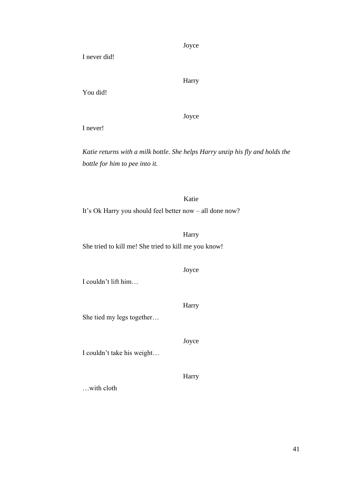Joyce

I never did!

Harry

You did!

Joyce

I never!

*Katie returns with a milk bottle. She helps Harry unzip his fly and holds the bottle for him to pee into it.*

Katie It's Ok Harry you should feel better now – all done now?

Harry She tried to kill me! She tried to kill me you know!

Joyce

I couldn't lift him…

Harry

She tied my legs together…

Joyce

I couldn't take his weight…

Harry

…with cloth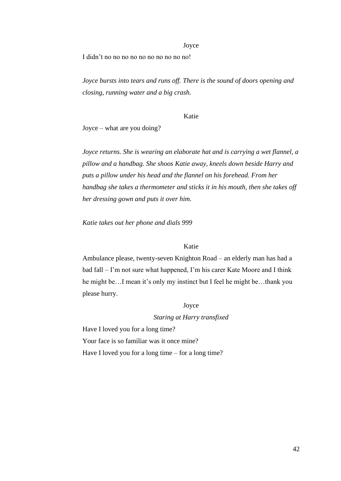#### Joyce

I didn't no no no no no no no no no no!

*Joyce bursts into tears and runs off. There is the sound of doors opening and closing, running water and a big crash.*

#### Katie

Joyce – what are you doing?

*Joyce returns. She is wearing an elaborate hat and is carrying a wet flannel, a pillow and a handbag. She shoos Katie away, kneels down beside Harry and puts a pillow under his head and the flannel on his forehead. From her handbag she takes a thermometer and sticks it in his mouth, then she takes off her dressing gown and puts it over him.*

*Katie takes out her phone and dials 999*

# Katie

Ambulance please, twenty-seven Knighton Road – an elderly man has had a bad fall – I'm not sure what happened, I'm his carer Kate Moore and I think he might be…I mean it's only my instinct but I feel he might be…thank you please hurry.

### Joyce

#### *Staring at Harry transfixed*

Have I loved you for a long time? Your face is so familiar was it once mine? Have I loved you for a long time – for a long time?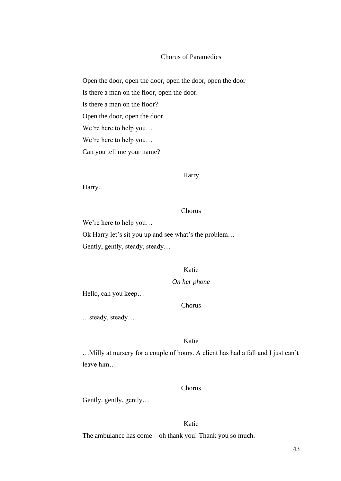### Chorus of Paramedics

Open the door, open the door, open the door, open the door Is there a man on the floor, open the door. Is there a man on the floor? Open the door, open the door. We're here to help you… We're here to help you… Can you tell me your name?

#### Harry

Harry.

#### Chorus

We're here to help you…

Ok Harry let's sit you up and see what's the problem… Gently, gently, steady, steady…

# Katie

*On her phone*

Hello, can you keep…

# Chorus

…steady, steady…

# Katie

…Milly at nursery for a couple of hours. A client has had a fall and I just can't leave him…

### Chorus

Gently, gently, gently…

# Katie

The ambulance has come – oh thank you! Thank you so much.